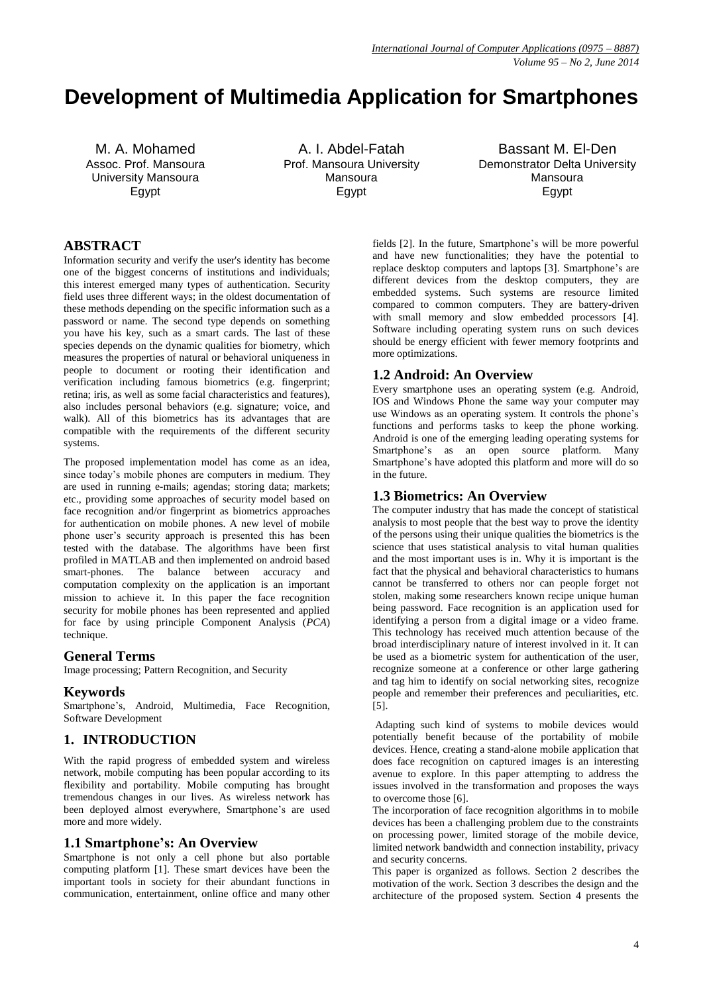# **Development of Multimedia Application for Smartphones**

M. A. Mohamed Assoc. Prof. Mansoura University Mansoura Egypt

A. I. Abdel-Fatah Prof. Mansoura University Mansoura Egypt

Bassant M. El-Den Demonstrator Delta University Mansoura Egypt

## **ABSTRACT**

Information security and verify the user's identity has become one of the biggest concerns of institutions and individuals; this interest emerged many types of authentication. Security field uses three different ways; in the oldest documentation of these methods depending on the specific information such as a password or name. The second type depends on something you have his key, such as a smart cards. The last of these species depends on the dynamic qualities for biometry, which measures the properties of natural or behavioral uniqueness in people to document or rooting their identification and verification including famous biometrics (e.g. fingerprint; retina; iris, as well as some facial characteristics and features), also includes personal behaviors (e.g. signature; voice, and walk). All of this biometrics has its advantages that are compatible with the requirements of the different security systems.

The proposed implementation model has come as an idea, since today's mobile phones are computers in medium. They are used in running e-mails; agendas; storing data; markets; etc., providing some approaches of security model based on face recognition and/or fingerprint as biometrics approaches for authentication on mobile phones. A new level of mobile phone user's security approach is presented this has been tested with the database. The algorithms have been first profiled in MATLAB and then implemented on android based smart-phones. The balance between accuracy and computation complexity on the application is an important mission to achieve it*.* In this paper the face recognition security for mobile phones has been represented and applied for face by using principle Component Analysis (*PCA*) technique.

## **General Terms**

Image processing; Pattern Recognition, and Security

## **Keywords**

Smartphone's, Android, Multimedia, Face Recognition, Software Development

## **1. INTRODUCTION**

With the rapid progress of embedded system and wireless network, mobile computing has been popular according to its flexibility and portability. Mobile computing has brought tremendous changes in our lives. As wireless network has been deployed almost everywhere, Smartphone's are used more and more widely.

## **1.1 Smartphone's: An Overview**

Smartphone is not only a cell phone but also portable computing platform [1]. These smart devices have been the important tools in society for their abundant functions in communication, entertainment, online office and many other

fields [2]. In the future, Smartphone's will be more powerful and have new functionalities; they have the potential to replace desktop computers and laptops [3]. Smartphone's are different devices from the desktop computers, they are embedded systems. Such systems are resource limited compared to common computers. They are battery-driven with small memory and slow embedded processors [4]. Software including operating system runs on such devices should be energy efficient with fewer memory footprints and more optimizations.

## **1.2 Android: An Overview**

Every smartphone uses an operating system (e.g. Android, IOS and Windows Phone the same way your computer may use Windows as an operating system. It controls the phone's functions and performs tasks to keep the phone working. Android is one of the emerging leading operating systems for Smartphone's as an open source platform. Many Smartphone's have adopted this platform and more will do so in the future.

#### **1.3 Biometrics: An Overview**

The computer industry that has made the concept of statistical analysis to most people that the best way to prove the identity of the persons using their unique qualities the biometrics is the science that uses statistical analysis to vital human qualities and the most important uses is in. Why it is important is the fact that the physical and behavioral characteristics to humans cannot be transferred to others nor can people forget not stolen, making some researchers known recipe unique human being password. Face recognition is an application used for identifying a person from a digital image or a video frame. This technology has received much attention because of the broad interdisciplinary nature of interest involved in it. It can be used as a biometric system for authentication of the user, recognize someone at a conference or other large gathering and tag him to identify on social networking sites, recognize people and remember their preferences and peculiarities, etc. [5].

Adapting such kind of systems to mobile devices would potentially benefit because of the portability of mobile devices. Hence, creating a stand‐alone mobile application that does face recognition on captured images is an interesting avenue to explore. In this paper attempting to address the issues involved in the transformation and proposes the ways to overcome those [6].

The incorporation of face recognition algorithms in to mobile devices has been a challenging problem due to the constraints on processing power, limited storage of the mobile device, limited network bandwidth and connection instability, privacy and security concerns.

This paper is organized as follows. Section 2 describes the motivation of the work. Section 3 describes the design and the architecture of the proposed system. Section 4 presents the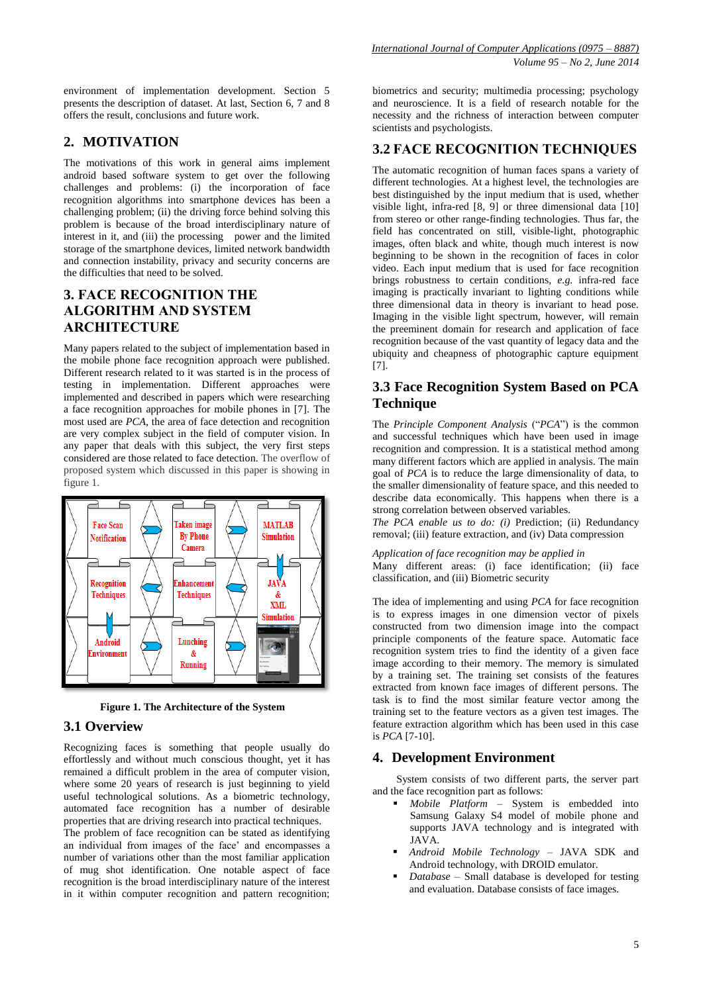environment of implementation development. Section 5 presents the description of dataset. At last, Section 6, 7 and 8 offers the result, conclusions and future work.

## **2. MOTIVATION**

The motivations of this work in general aims implement android based software system to get over the following challenges and problems: (i) the incorporation of face recognition algorithms into smartphone devices has been a challenging problem; (ii) the driving force behind solving this problem is because of the broad interdisciplinary nature of interest in it, and (iii) the processing power and the limited storage of the smartphone devices, limited network bandwidth and connection instability, privacy and security concerns are the difficulties that need to be solved.

# **3. FACE RECOGNITION THE ALGORITHM AND SYSTEM ARCHITECTURE**

Many papers related to the subject of implementation based in the mobile phone face recognition approach were published. Different research related to it was started is in the process of testing in implementation. Different approaches were implemented and described in papers which were researching a face recognition approaches for mobile phones in [7]. The most used are *PCA*, the area of face detection and recognition are very complex subject in the field of computer vision. In any paper that deals with this subject, the very first steps considered are those related to face detection. The overflow of proposed system which discussed in this paper is showing in figure 1.



**Figure 1. The Architecture of the System**

## **3.1 Overview**

Recognizing faces is something that people usually do effortlessly and without much conscious thought, yet it has remained a difficult problem in the area of computer vision, where some 20 years of research is just beginning to yield useful technological solutions. As a biometric technology, automated face recognition has a number of desirable properties that are driving research into practical techniques. The problem of face recognition can be stated as identifying an individual from images of the face' and encompasses a number of variations other than the most familiar application of mug shot identification. One notable aspect of face recognition is the broad interdisciplinary nature of the interest in it within computer recognition and pattern recognition;

biometrics and security; multimedia processing; psychology and neuroscience. It is a field of research notable for the necessity and the richness of interaction between computer scientists and psychologists.

## **3.2 FACE RECOGNITION TECHNIQUES**

The automatic recognition of human faces spans a variety of different technologies. At a highest level, the technologies are best distinguished by the input medium that is used, whether visible light, infra-red [8, 9] or three dimensional data [10] from stereo or other range-finding technologies. Thus far, the field has concentrated on still, visible-light, photographic images, often black and white, though much interest is now beginning to be shown in the recognition of faces in color video. Each input medium that is used for face recognition brings robustness to certain conditions, *e.g.* infra-red face imaging is practically invariant to lighting conditions while three dimensional data in theory is invariant to head pose. Imaging in the visible light spectrum, however, will remain the preeminent domain for research and application of face recognition because of the vast quantity of legacy data and the ubiquity and cheapness of photographic capture equipment [7].

# **3.3 Face Recognition System Based on PCA Technique**

The *Principle Component Analysis* ("*PCA*") is the common and successful techniques which have been used in image recognition and compression. It is a statistical method among many different factors which are applied in analysis. The main goal of *PCA* is to reduce the large dimensionality of data, to the smaller dimensionality of feature space, and this needed to describe data economically. This happens when there is a strong correlation between observed variables.

*The PCA enable us to do: (i)* Prediction; (ii) Redundancy removal; (iii) feature extraction, and (iv) Data compression

#### *Application of face recognition may be applied in*

Many different areas: (i) face identification; (ii) face classification, and (iii) Biometric security

The idea of implementing and using *PCA* for face recognition is to express images in one dimension vector of pixels constructed from two dimension image into the compact principle components of the feature space. Automatic face recognition system tries to find the identity of a given face image according to their memory. The memory is simulated by a training set. The training set consists of the features extracted from known face images of different persons. The task is to find the most similar feature vector among the training set to the feature vectors as a given test images. The feature extraction algorithm which has been used in this case is *PCA* [7-10].

## **4. Development Environment**

System consists of two different parts, the server part and the face recognition part as follows:

- *Mobile Platform*  System is embedded into Samsung Galaxy S4 model of mobile phone and supports JAVA technology and is integrated with JAVA.
- *Android Mobile Technology*  JAVA SDK and Android technology, with DROID emulator.
- *Database*  Small database is developed for testing and evaluation. Database consists of face images.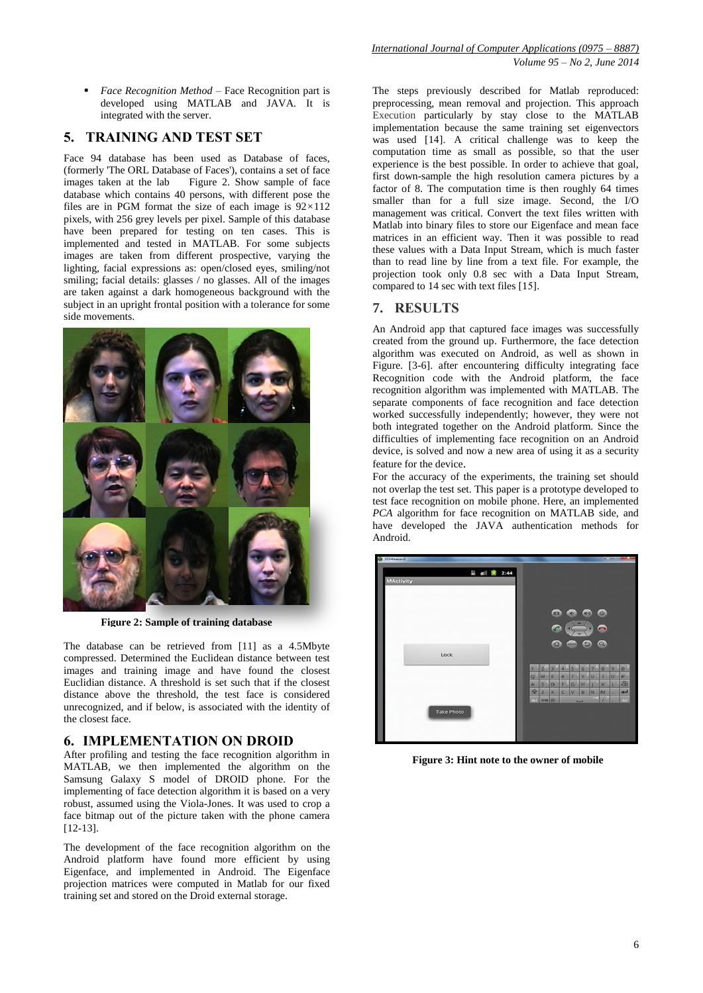*Face Recognition Method* – Face Recognition part is developed using MATLAB and JAVA. It is integrated with the server.

## **5. TRAINING AND TEST SET**

Face 94 database has been used as Database of faces, (formerly 'The ORL Database of Faces'), contains a set of face images taken at the lab Figure 2. Show sample of face database which contains 40 persons, with different pose the files are in PGM format the size of each image is 92*×*112 pixels, with 256 grey levels per pixel. Sample of this database have been prepared for testing on ten cases. This is implemented and tested in MATLAB. For some subjects images are taken from different prospective, varying the lighting, facial expressions as: open/closed eyes, smiling/not smiling; facial details: glasses / no glasses. All of the images are taken against a dark homogeneous background with the subject in an upright frontal position with a tolerance for some side movements.



**Figure 2: Sample of training database**

The database can be retrieved from [11] as a 4.5Mbyte compressed. Determined the Euclidean distance between test images and training image and have found the closest Euclidian distance. A threshold is set such that if the closest distance above the threshold, the test face is considered unrecognized, and if below, is associated with the identity of the closest face.

## **6. IMPLEMENTATION ON DROID**

After profiling and testing the face recognition algorithm in MATLAB, we then implemented the algorithm on the Samsung Galaxy S model of DROID phone. For the implementing of face detection algorithm it is based on a very robust, assumed using the Viola-Jones. It was used to crop a face bitmap out of the picture taken with the phone camera [12-13].

The development of the face recognition algorithm on the Android platform have found more efficient by using Eigenface, and implemented in Android. The Eigenface projection matrices were computed in Matlab for our fixed training set and stored on the Droid external storage.

The steps previously described for Matlab reproduced: preprocessing, mean removal and projection. This approach Execution particularly by stay close to the MATLAB implementation because the same training set eigenvectors was used [14]. A critical challenge was to keep the computation time as small as possible, so that the user experience is the best possible. In order to achieve that goal, first down-sample the high resolution camera pictures by a factor of 8. The computation time is then roughly 64 times smaller than for a full size image. Second, the I/O management was critical. Convert the text files written with Matlab into binary files to store our Eigenface and mean face matrices in an efficient way. Then it was possible to read these values with a Data Input Stream, which is much faster than to read line by line from a text file. For example, the projection took only 0.8 sec with a Data Input Stream, compared to 14 sec with text files [15].

## **7. RESULTS**

An Android app that captured face images was successfully created from the ground up. Furthermore, the face detection algorithm was executed on Android, as well as shown in Figure. [3-6]. after encountering difficulty integrating face Recognition code with the Android platform, the face recognition algorithm was implemented with MATLAB. The separate components of face recognition and face detection worked successfully independently; however, they were not both integrated together on the Android platform. Since the difficulties of implementing face recognition on an Android device, is solved and now a new area of using it as a security feature for the device.

For the accuracy of the experiments, the training set should not overlap the test set. This paper is a prototype developed to test face recognition on mobile phone. Here, an implemented *PCA* algorithm for face recognition on MATLAB side, and have developed the JAVA authentication methods for Android.



**Figure 3: Hint note to the owner of mobile**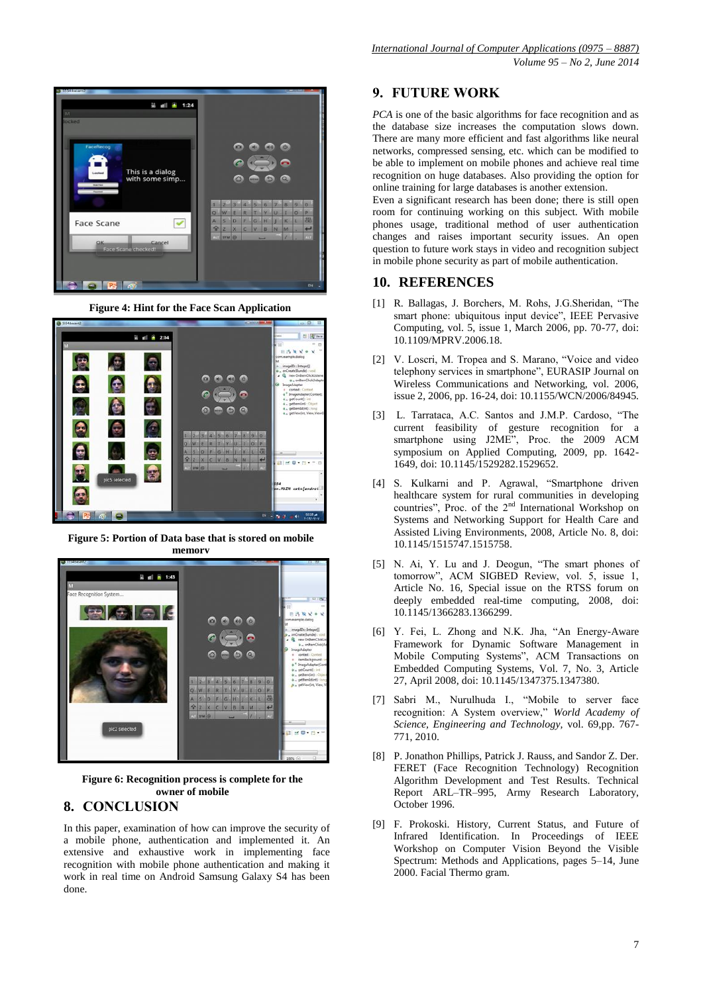

**Figure 4: Hint for the Face Scan Application** 



**Figure 5: Portion of Data base that is stored on mobile memory**



**Figure 6: Recognition process is complete for the owner of mobile** 

## **8. CONCLUSION**

In this paper, examination of how can improve the security of a mobile phone, authentication and implemented it. An extensive and exhaustive work in implementing face recognition with mobile phone authentication and making it work in real time on Android Samsung Galaxy S4 has been done.

## **9. FUTURE WORK**

*PCA* is one of the basic algorithms for face recognition and as the database size increases the computation slows down. There are many more efficient and fast algorithms like neural networks, compressed sensing, etc. which can be modified to be able to implement on mobile phones and achieve real time recognition on huge databases. Also providing the option for online training for large databases is another extension.

Even a significant research has been done; there is still open room for continuing working on this subject. With mobile phones usage, traditional method of user authentication changes and raises important security issues. An open question to future work stays in video and recognition subject in mobile phone security as part of mobile authentication.

#### **10. REFERENCES**

- [1] R. Ballagas, J. Borchers, M. Rohs, J.G.Sheridan, "The smart phone: ubiquitous input device", IEEE Pervasive Computing, vol. 5, issue 1, March 2006, pp. 70-77, doi: 10.1109/MPRV.2006.18.
- [2] V. Loscri, M. Tropea and S. Marano, "Voice and video telephony services in smartphone", EURASIP Journal on Wireless Communications and Networking, vol. 2006, issue 2, 2006, pp. 16-24, doi: 10.1155/WCN/2006/84945.
- [3] L. Tarrataca, A.C. Santos and J.M.P. Cardoso, "The current feasibility of gesture recognition for a smartphone using J2ME", Proc. the 2009 ACM symposium on Applied Computing, 2009, pp. 1642- 1649, doi: 10.1145/1529282.1529652.
- [4] S. Kulkarni and P. Agrawal, "Smartphone driven healthcare system for rural communities in developing countries", Proc. of the 2<sup>nd</sup> International Workshop on Systems and Networking Support for Health Care and Assisted Living Environments, 2008, Article No. 8, doi: 10.1145/1515747.1515758.
- [5] N. Ai, Y. Lu and J. Deogun, "The smart phones of tomorrow", ACM SIGBED Review, vol. 5, issue 1, Article No. 16, Special issue on the RTSS forum on deeply embedded real-time computing, 2008, doi: 10.1145/1366283.1366299.
- [6] Y. Fei, L. Zhong and N.K. Jha, "An Energy-Aware Framework for Dynamic Software Management in Mobile Computing Systems", ACM Transactions on Embedded Computing Systems, Vol. 7, No. 3, Article 27, April 2008, doi: 10.1145/1347375.1347380.
- [7] Sabri M., Nurulhuda I., "Mobile to server face recognition: A System overview," *World Academy of Science, Engineering and Technology,* vol. 69,pp. 767- 771, 2010.
- [8] P. Jonathon Phillips, Patrick J. Rauss, and Sandor Z. Der. FERET (Face Recognition Technology) Recognition Algorithm Development and Test Results. Technical Report ARL–TR–995, Army Research Laboratory, October 1996.
- [9] F. Prokoski. History, Current Status, and Future of Infrared Identification. In Proceedings of IEEE Workshop on Computer Vision Beyond the Visible Spectrum: Methods and Applications, pages 5–14, June 2000. Facial Thermo gram.